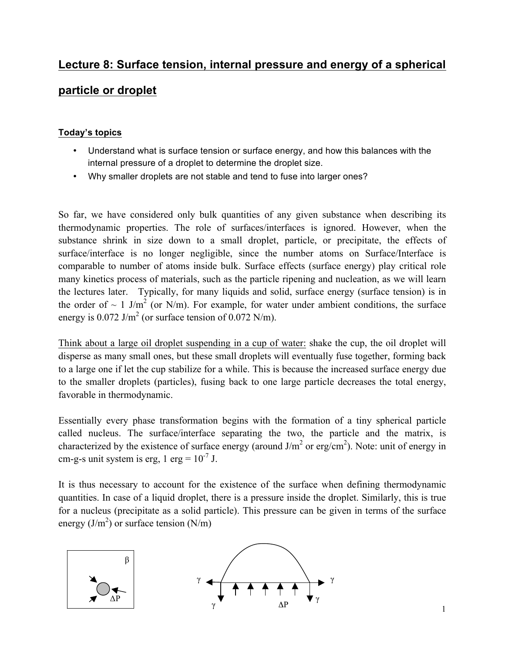# **Lecture 8: Surface tension, internal pressure and energy of a spherical**

## **particle or droplet**

#### **Today's topics**

- Understand what is surface tension or surface energy, and how this balances with the internal pressure of a droplet to determine the droplet size.
- Why smaller droplets are not stable and tend to fuse into larger ones?

So far, we have considered only bulk quantities of any given substance when describing its thermodynamic properties. The role of surfaces/interfaces is ignored. However, when the substance shrink in size down to a small droplet, particle, or precipitate, the effects of surface/interface is no longer negligible, since the number atoms on Surface/Interface is comparable to number of atoms inside bulk. Surface effects (surface energy) play critical role many kinetics process of materials, such as the particle ripening and nucleation, as we will learn the lectures later. Typically, for many liquids and solid, surface energy (surface tension) is in the order of  $\sim 1$  J/m<sup>2</sup> (or N/m). For example, for water under ambient conditions, the surface energy is  $0.072$  J/m<sup>2</sup> (or surface tension of  $0.072$  N/m).

Think about a large oil droplet suspending in a cup of water: shake the cup, the oil droplet will disperse as many small ones, but these small droplets will eventually fuse together, forming back to a large one if let the cup stabilize for a while. This is because the increased surface energy due to the smaller droplets (particles), fusing back to one large particle decreases the total energy, favorable in thermodynamic.

Essentially every phase transformation begins with the formation of a tiny spherical particle called nucleus. The surface/interface separating the two, the particle and the matrix, is characterized by the existence of surface energy (around  $J/m<sup>2</sup>$  or erg/cm<sup>2</sup>). Note: unit of energy in cm-g-s unit system is erg,  $1 \text{ erg} = 10^{-7} \text{ J}$ .

It is thus necessary to account for the existence of the surface when defining thermodynamic quantities. In case of a liquid droplet, there is a pressure inside the droplet. Similarly, this is true for a nucleus (precipitate as a solid particle). This pressure can be given in terms of the surface energy  $(J/m^2)$  or surface tension  $(N/m)$ 

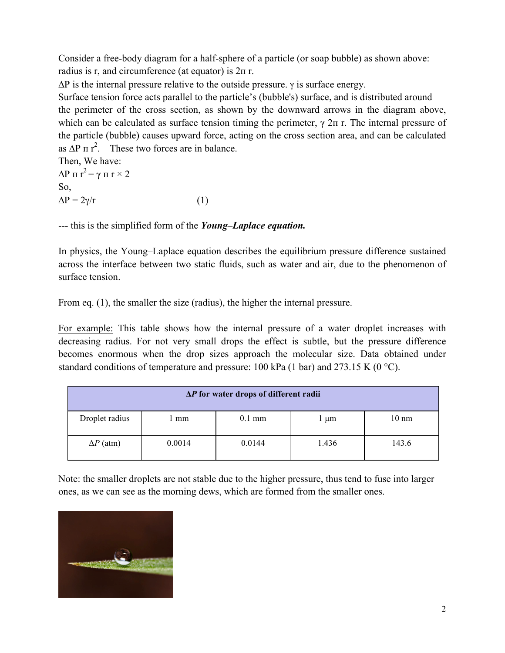Consider a free-body diagram for a half-sphere of a particle (or soap bubble) as shown above: radius is r, and circumference (at equator) is 2п r.

 $\Delta P$  is the internal pressure relative to the outside pressure. γ is surface energy.

Surface tension force acts parallel to the particle's (bubble's) surface, and is distributed around the perimeter of the cross section, as shown by the downward arrows in the diagram above, which can be calculated as surface tension timing the perimeter,  $\gamma$  2π r. The internal pressure of the particle (bubble) causes upward force, acting on the cross section area, and can be calculated as  $\Delta P \pi r^2$ . These two forces are in balance.

Then, We have:  $\Delta P \pi r^2 = \gamma \pi r \times 2$ So,  $\Delta P = 2\gamma/r$  (1)

--- this is the simplified form of the *Young–Laplace equation.*

In physics, the Young–Laplace equation describes the equilibrium pressure difference sustained across the interface between two static fluids, such as water and air, due to the phenomenon of surface tension.

From eq. (1), the smaller the size (radius), the higher the internal pressure.

For example: This table shows how the internal pressure of a water droplet increases with decreasing radius. For not very small drops the effect is subtle, but the pressure difference becomes enormous when the drop sizes approach the molecular size. Data obtained under standard conditions of temperature and pressure: 100 kPa (1 bar) and 273.15 K (0  $^{\circ}$ C).

| $\Delta P$ for water drops of different radii |        |          |       |                 |
|-----------------------------------------------|--------|----------|-------|-----------------|
| Droplet radius                                | l mm   | $0.1$ mm | l µm  | $10 \text{ nm}$ |
| $\Delta P$ (atm)                              | 0.0014 | 0.0144   | 1.436 | 143.6           |

Note: the smaller droplets are not stable due to the higher pressure, thus tend to fuse into larger ones, as we can see as the morning dews, which are formed from the smaller ones.

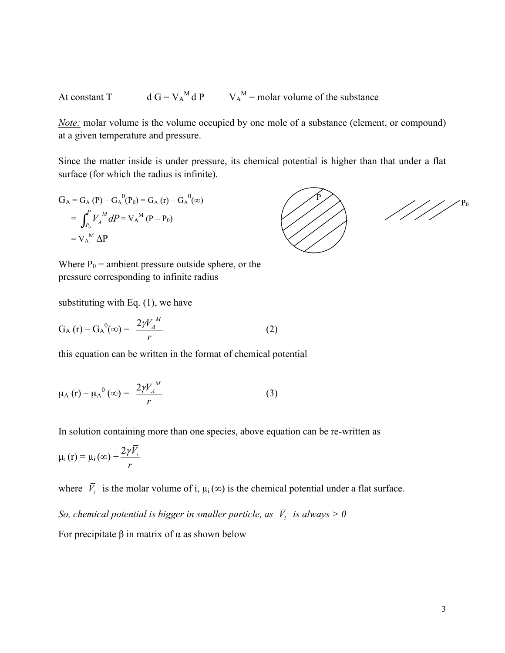At constant T  $M dP$   $V_A$ <sup>M</sup> = molar volume of the substance

*Note:* molar volume is the volume occupied by one mole of a substance (element, or compound) at a given temperature and pressure.

Since the matter inside is under pressure, its chemical potential is higher than that under a flat surface (for which the radius is infinite).

$$
G_{A} = G_{A} (P) - G_{A}^{0} (P_{0}) = G_{A} (r) - G_{A}^{0} (\infty)
$$
  
= 
$$
\int_{P_{0}}^{P} V_{A}^{M} dP = V_{A}^{M} (P - P_{0})
$$
  
= 
$$
V_{A}^{M} \Delta P
$$

Where  $P_0$  = ambient pressure outside sphere, or the pressure corresponding to infinite radius

substituting with Eq. (1), we have

$$
G_A(r) - G_A^0(\infty) = \frac{2\gamma V_A^M}{r}
$$
 (2)

this equation can be written in the format of chemical potential

$$
\mu_{A} (r) - \mu_{A}^{0} (\infty) = \frac{2 \gamma V_{A}^{M}}{r}
$$
 (3)

In solution containing more than one species, above equation can be re-written as

$$
\mu_i(r) = \mu_i(\infty) + \frac{2\gamma\bar{V}_i}{r}
$$

where  $\overline{V}_i$  is the molar volume of i,  $\mu_i(\infty)$  is the chemical potential under a flat surface.

*So, chemical potential is bigger in smaller particle, as*  $\overline{V}_i$  *is always*  $> 0$ 

For precipitate β in matrix of α as shown below